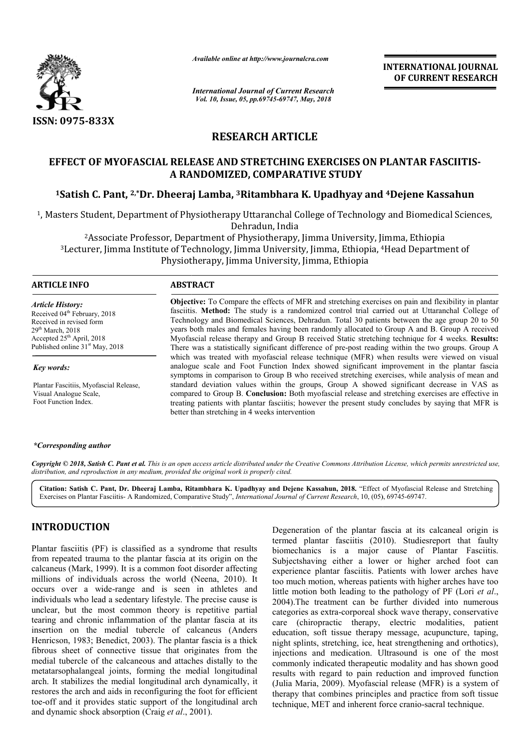

*Available online at http://www.journalcra.com*

*International Journal of Current Research Vol. 10, Issue, 05, pp.69745-69747, May, 2018*

**INTERNATIONAL JOURNAL OF CURRENT RESEARCH**

# **RESEARCH ARTICLE**

# **EFFECT OF MYOFASCIAL RELEASE AND STRETCHING EXERCISES ON PLANTAR FASCIITIS FASCIITIS-A RANDOMIZED, COMPARATIVE STUDY**

# **1Satish C. Pant, 2,\*Dr. Dheeraj Lamba, 3Ritambhara K. Upadhyay and 4Dejene Kassahun**

1, Masters Student, Department of Physiotherapy Uttaranchal College of Technology and Biomedical Sciences, 2Associate Professor, Department of Physiotherapy, Jimma University, Jimma, Ethiopia iters Student, Department of Physiotherapy Uttaranchal College of Technology and Biomedical Scie<br>Dehradun, India<br><sup>2</sup>Associate Professor, Department of Physiotherapy, Jimma University, Jimma, Ethiopia<br><sup>3</sup>Lecturer, Jimma Ins Dehradun, India

Physiotherapy, Jimma University, Jimma, Ethiopia

## **ARTICLE INFO ABSTRACT**

*Key words:*

*Article History:* Received 04<sup>th</sup> February, 2018 Received in revised form 29th March, 2018  $A$ ccepted  $25<sup>th</sup>$  April, 2018 Published online 31<sup>st</sup> May, 2018

Plantar Fascitiis, Myofascial Release, Visual Analogue Scale, Foot Function Index.

**Objective:** To Compare the effects of MFR and stretching exercises on pain and flexibility in plantar fasciitis fasciitis. **Method:** The study is a randomized control trial carried out at Uttaranchal College of Technology and Biomedical Sciences, Dehradun. Total 30 patients between the age group 20 to 50 years both males and females having been randomly allocated to Group A and B. Group A received fasciitis. **Method:** The study is a randomized control trial carried out at Uttaranchal College of Technology and Biomedical Sciences, Dehradun. Total 30 patients between the age group 20 to 50 years both males and females There was a statistically significant difference of pre-post reading within the two groups. Group A which was treated with myofascial release technique (MFR) when results were viewed on visual analogue scale and Foot Function Index showed significant improvement in the plantar fascia There was a statistically significant difference of pre-post reading within the two groups. Group A which was treated with myofascial release technique (MFR) when results were viewed on visual analogue scale and Foot Funct standard deviation values within the groups, Group A showed significant decrease in VAS as compared to Group B. **Conclusion:** Both myofascial release and stretching exercises are effective in treating patients with plantar fasciitis; however the present study concludes by saying that MFR is better than stretching in 4 weeks intervention standard deviation values within the groups, Group A showed significant compared to Group B. Conclusion: Both myofascial release and stretching extreating patients with plantar fasciitis; however the present study conclude

#### *\*Corresponding author*

Copyright © 2018, Satish C. Pant et al. This is an open access article distributed under the Creative Commons Attribution License, which permits unrestricted use, *distribution, and reproduction in any medium, provided the original work is properly cited.*

Citation: Satish C. Pant, Dr. Dheeraj Lamba, Ritambhara K. Upadhyay and Dejene Kassahun, 2018. "Effect of Myofascial Release and Stretching<br>Exercises on Plantar Fasciitis- A Randomized, Comparative Study", *International J* Exercises on Plantar Fasciitis- A Randomized, Comparative Study", *International Journal of Current Research*, 10, (05),

# **INTRODUCTION**

Plantar fasciitis (PF) is classified as a syndrome that results from repeated trauma to the plantar fascia at its origin on the calcaneus (Mark, 1999). It is a common foot disorder affecting calcaneus (Mark, 1999). It is a common foot disorder affecting<br>millions of individuals across the world (Neena, 2010). It occurs over a wide-range and is seen in athletes and individuals who lead a sedentary lifestyle. The precise cause is unclear, but the most common theory is repetitive partial tearing and chronic inflammation of the plantar fascia at its occurs over a wide-range and is seen in athletes and individuals who lead a sedentary lifestyle. The precise cause is unclear, but the most common theory is repetitive partial tearing and chronic inflammation of the planta Henricson, 1983; Benedict, 2003). The plantar fascia is a thick fibrous sheet of connective tissue that originates from the medial tubercle of the calcaneous and attaches distally to the metatarsophalangeal joints, forming the medial longitudinal arch. It stabilizes the medial longitudinal arch dynamically, it restores the arch and aids in reconfiguring the foot for efficient toe-off and it provides static support of the longitudinal arch and dynamic shock absorption (Craig *et al*., 2001 rricson, 1983; Benedict, 2003). The plantar fasc<br>ous sheet of connective tissue that originate<br>lial tubercle of the calcaneous and attaches di<br>atarsophalangeal joints, forming the medial<br>in. It stabilizes the medial longi

Degeneration of the plantar fascia at its calcaneal origin is termed plantar fasciitis (2010 2010). Studiesreport that faulty biomechanics is a major cause of Plantar Fasciitis. Subjectshaving either a lower or higher arched foot can experience plantar fasciitis. Patients with lower arches have too much motion, whereas patients with higher arches have too little motion both leading to the pathology of PF (Lori *et al...*) 2004).The treatment can be further divided into numerous categories as extra-corporeal shock wave therapy, conservative care (chiropractic therapy, electric modalities, patient education, soft tissue therapy message, acupuncture, taping, night splints, stretching, ice, heat strengthening and orthotics), injections and medication. Ultrasound is one of the most commonly indicated therapeutic modality and has shown good results with regard to pain reduction and improved function (Julia Maria, 2009). Myofascial release (MFR) is a system of therapy that combines principles and practice from soft tissue therapy that combines principles and practice from soft tis<br>technique, MET and inherent force cranio-sacral technique. mechanics is a major cause of Plantar Fasciitis.<br>jectshaving either a lower or higher arched foot can<br>erience plantar fasciitis. Patients with lower arches have<br>much motion, whereas patients with higher arches have too<br>e m .The treatment can be further divided into numerous ories as extra-corporeal shock wave therapy, conservative (chiropractic therapy, electric modalities, patient tion, soft tissue therapy message, acupuncture, taping, spli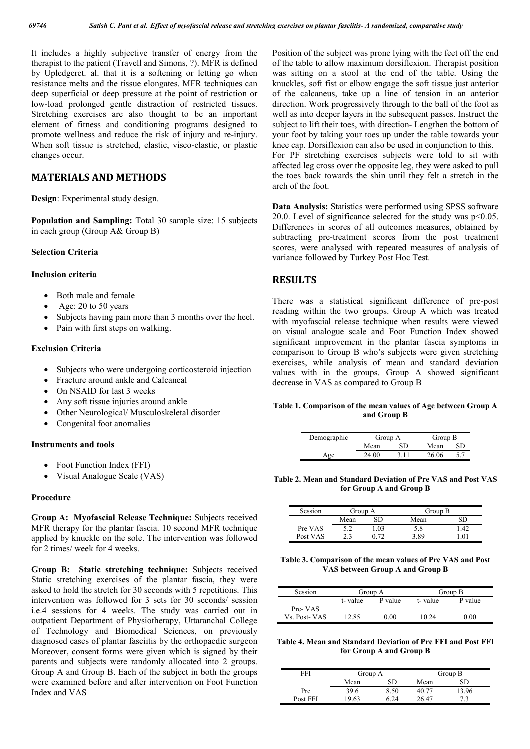It includes a highly subjective transfer of energy from the therapist to the patient (Travell and Simons, ?). MFR is defined by Upledgeret. al. that it is a softening or letting go when resistance melts and the tissue elongates. MFR techniques can deep superficial or deep pressure at the point of restriction or low-load prolonged gentle distraction of restricted tissues. Stretching exercises are also thought to be an important element of fitness and conditioning programs designed to promote wellness and reduce the risk of injury and re-injury. When soft tissue is stretched, elastic, visco-elastic, or plastic changes occur.

## **MATERIALS AND METHODS**

**Design**: Experimental study design.

**Population and Sampling:** Total 30 sample size: 15 subjects in each group (Group A& Group B)

## **Selection Criteria**

#### **Inclusion criteria**

- Both male and female
- Age: 20 to 50 years
- Subjects having pain more than 3 months over the heel.
- Pain with first steps on walking.

## **Exclusion Criteria**

- Subjects who were undergoing corticosteroid injection
- Fracture around ankle and Calcaneal
- On NSAID for last 3 weeks
- Any soft tissue injuries around ankle
- Other Neurological/ Musculoskeletal disorder
- Congenital foot anomalies

## **Instruments and tools**

- Foot Function Index (FFI)
- Visual Analogue Scale (VAS)

#### **Procedure**

**Group A: Myofascial Release Technique:** Subjects received MFR therapy for the plantar fascia. 10 second MFR technique applied by knuckle on the sole. The intervention was followed for 2 times/ week for 4 weeks.

**Group B: Static stretching technique:** Subjects received Static stretching exercises of the plantar fascia, they were asked to hold the stretch for 30 seconds with 5 repetitions. This intervention was followed for 3 sets for 30 seconds/ session i.e.4 sessions for 4 weeks. The study was carried out in outpatient Department of Physiotherapy, Uttaranchal College of Technology and Biomedical Sciences, on previously diagnosed cases of plantar fasciitis by the orthopaedic surgeon Moreover, consent forms were given which is signed by their parents and subjects were randomly allocated into 2 groups. Group A and Group B. Each of the subject in both the groups were examined before and after intervention on Foot Function Index and VAS

Position of the subject was prone lying with the feet off the end of the table to allow maximum dorsiflexion. Therapist position was sitting on a stool at the end of the table. Using the knuckles, soft fist or elbow engage the soft tissue just anterior of the calcaneus, take up a line of tension in an anterior direction. Work progressively through to the ball of the foot as well as into deeper layers in the subsequent passes. Instruct the subject to lift their toes, with direction- Lengthen the bottom of your foot by taking your toes up under the table towards your knee cap. Dorsiflexion can also be used in conjunction to this. For PF stretching exercises subjects were told to sit with affected leg cross over the opposite leg, they were asked to pull the toes back towards the shin until they felt a stretch in the arch of the foot.

**Data Analysis:** Statistics were performed using SPSS software 20.0. Level of significance selected for the study was  $p<0.05$ . Differences in scores of all outcomes measures, obtained by subtracting pre-treatment scores from the post treatment scores, were analysed with repeated measures of analysis of variance followed by Turkey Post Hoc Test.

# **RESULTS**

There was a statistical significant difference of pre-post reading within the two groups. Group A which was treated with myofascial release technique when results were viewed on visual analogue scale and Foot Function Index showed significant improvement in the plantar fascia symptoms in comparison to Group B who's subjects were given stretching exercises, while analysis of mean and standard deviation values with in the groups, Group A showed significant decrease in VAS as compared to Group B

#### **Table 1. Comparison of the mean values of Age between Group A and Group B**

| Demographic | Group A |     | Group B |     |  |
|-------------|---------|-----|---------|-----|--|
|             | Mean    |     | Mean    | 3D. |  |
| .ge         | 24.00   | 311 | 26.06   |     |  |

**Table 2. Mean and Standard Deviation of Pre VAS and Post VAS for Group A and Group B**

| Session  | Group A |      | Group B |          |
|----------|---------|------|---------|----------|
|          | Mean    | SD.  | Mean    |          |
| Pre VAS  | 5.2     | .03  | 5.8     | . 42     |
| Post VAS |         | በ 72 | 3 RQ    | $\Omega$ |

**Table 3. Comparison of the mean values of Pre VAS and Post VAS between Group A and Group B**

| Session      | Group A |         | Group B |         |  |
|--------------|---------|---------|---------|---------|--|
|              | t-value | P value | t-value | P value |  |
| Pre-VAS      |         |         |         |         |  |
| Vs. Post-VAS | 12.85   | 0.00    | 10 24   | 0.00    |  |

**Table 4. Mean and Standard Deviation of Pre FFI and Post FFI for Group A and Group B**

| FFI      | Group A |      | Group B |      |  |
|----------|---------|------|---------|------|--|
|          | Mean    |      | Mean    |      |  |
| Pre      | 39.6    | 8.50 | 40.77   | 3.96 |  |
| Post FFI | 9.63    | 5.24 | 26.47   |      |  |